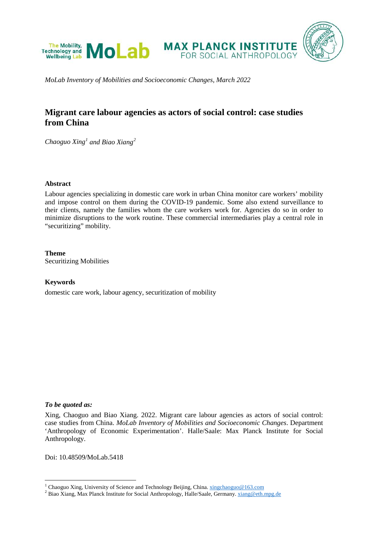

*MoLab Inventory of Mobilities and Socioeconomic Changes, March 2022*

# **Migrant care labour agencies as actors of social control: case studies from China**

*Chaoguo Xing[1](#page-0-0) and Biao Xiang[2](#page-0-1)*

### **Abstract**

Labour agencies specializing in domestic care work in urban China monitor care workers' mobility and impose control on them during the COVID-19 pandemic. Some also extend surveillance to their clients, namely the families whom the care workers work for. Agencies do so in order to minimize disruptions to the work routine. These commercial intermediaries play a central role in "securitizing" mobility.

**Theme** Securitizing Mobilities

### **Keywords**

domestic care work, labour agency, securitization of mobility

### *To be quoted as:*

Xing, Chaoguo and Biao Xiang. 2022. Migrant care labour agencies as actors of social control: case studies from China. *MoLab Inventory of Mobilities and Socioeconomic Changes*. Department 'Anthropology of Economic Experimentation'. Halle/Saale: Max Planck Institute for Social Anthropology.

Doi: 10.48509/MoLab.5418

<span id="page-0-1"></span><span id="page-0-0"></span><sup>&</sup>lt;sup>1</sup> Chaoguo Xing, University of Science and Technology Beijing, China.  $\frac{xingchaoguo@163.com}{xlang. Max Planck Institute for Social Anthropology, Halle/Saale, Germany.  $\frac{xiang@eth.mpg.de}{xlang.}$$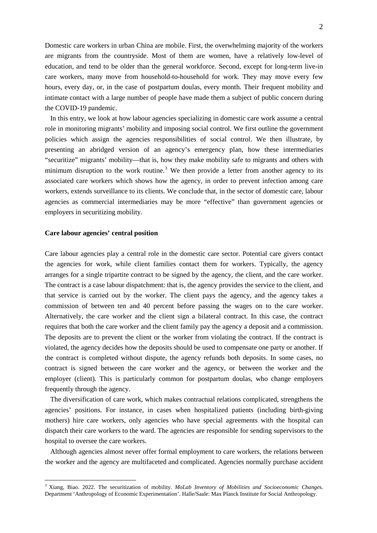Domestic care workers in urban China are mobile. First, the overwhelming majority of the workers are migrants from the countryside. Most of them are women, have a relatively low-level of education, and tend to be older than the general workforce. Second, except for long-term live-in care workers, many move from household-to-household for work. They may move every few hours, every day, or, in the case of postpartum doulas, every month. Their frequent mobility and intimate contact with a large number of people have made them a subject of public concern during the COVID-19 pandemic.

In this entry, we look at how labour agencies specializing in domestic care work assume a central role in monitoring migrants' mobility and imposing social control. We first outline the government policies which assign the agencies responsibilities of social control. We then illustrate, by presenting an abridged version of an agency's emergency plan, how these intermediaries "securitize" migrants' mobility—that is, how they make mobility safe to migrants and others with minimum disruption to the work routine.<sup>[3](#page-0-0)</sup> We then provide a letter from another agency to its associated care workers which shows how the agency, in order to prevent infection among care workers, extends surveillance to its clients. We conclude that, in the sector of domestic care, labour agencies as commercial intermediaries may be more "effective" than government agencies or employers in securitizing mobility.

### **Care labour agencies' central position**

Care labour agencies play a central role in the domestic care sector. Potential care givers contact the agencies for work, while client families contact them for workers. Typically, the agency arranges for a single tripartite contract to be signed by the agency, the client, and the care worker. The contract is a case labour dispatchment: that is, the agency provides the service to the client, and that service is carried out by the worker. The client pays the agency, and the agency takes a commission of between ten and 40 percent before passing the wages on to the care worker. Alternatively, the care worker and the client sign a bilateral contract. In this case, the contract requires that both the care worker and the client family pay the agency a deposit and a commission. The deposits are to prevent the client or the worker from violating the contract. If the contract is violated, the agency decides how the deposits should be used to compensate one party or another. If the contract is completed without dispute, the agency refunds both deposits. In some cases, no contract is signed between the care worker and the agency, or between the worker and the employer (client). This is particularly common for postpartum doulas, who change employers frequently through the agency.

<span id="page-1-0"></span>The diversification of care work, which makes contractual relations complicated, strengthens the agencies' positions. For instance, in cases when hospitalized patients (including birth-giving mothers) hire care workers, only agencies who have special agreements with the hospital can dispatch their care workers to the ward. The agencies are responsible for sending supervisors to the hospital to oversee the care workers.

Although agencies almost never offer formal employment to care workers, the relations between the worker and the agency are multifaceted and complicated. Agencies normally purchase accident

 <sup>3</sup> Xiang, Biao. 2022. The securitization of mobility. *MoLab Inventory of Mobilities and Socioeconomic Changes*. Department 'Anthropology of Economic Experimentation'. Halle/Saale: Max Planck Institute for Social Anthropology.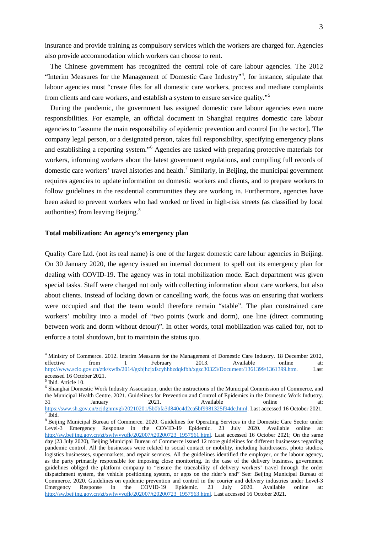insurance and provide training as compulsory services which the workers are charged for. Agencies also provide accommodation which workers can choose to rent.

The Chinese government has recognized the central role of care labour agencies. The 2012 "Interim Measures for the Management of Domestic Care Industry"<sup>[4](#page-1-0)</sup>, for instance, stipulate that labour agencies must "create files for all domestic care workers, process and mediate complaints from clients and care workers, and establish a system to ensure service quality."[5](#page-2-0)

During the pandemic, the government has assigned domestic care labour agencies even more responsibilities. For example, an official document in Shanghai requires domestic care labour agencies to "assume the main responsibility of epidemic prevention and control [in the sector]. The company legal person, or a designated person, takes full responsibility, specifying emergency plans and establishing a reporting system."[6](#page-2-1) Agencies are tasked with preparing protective materials for workers, informing workers about the latest government regulations, and compiling full records of domestic care workers' travel histories and health.<sup>[7](#page-2-2)</sup> Similarly, in Beijing, the municipal government requires agencies to update information on domestic workers and clients, and to prepare workers to follow guidelines in the residential communities they are working in. Furthermore, agencies have been asked to prevent workers who had worked or lived in high-risk streets (as classified by local authorities) from leaving Beijing.[8](#page-2-3)

#### **Total mobilization: An agency's emergency plan**

Quality Care Ltd. (not its real name) is one of the largest domestic care labour agencies in Beijing. On 30 January 2020, the agency issued an internal document to spell out its emergency plan for dealing with COVID-19. The agency was in total mobilization mode. Each department was given special tasks. Staff were charged not only with collecting information about care workers, but also about clients. Instead of locking down or cancelling work, the focus was on ensuring that workers were occupied and that the team would therefore remain "stable". The plan constrained care workers' mobility into a model of "two points (work and dorm), one line (direct commuting between work and dorm without detour)". In other words, total mobilization was called for, not to enforce a total shutdown, but to maintain the status quo.

<sup>4</sup> Ministry of Commerce. 2012. Interim Measures for the Management of Domestic Care Industry. 18 December 2012, effective from 1 February 2013. Available online at: effective from 1 February 2013. Available online at: http://www.scio.gov.cn/ztk/xwfb/2014/gxbjhcjxfscyhhbzdqkfbh/xgzc30323/Document/1361399/1361399.htm. Last accessed 16 October 2021.

<sup>5</sup> Ibid. Article 10.

<span id="page-2-1"></span><span id="page-2-0"></span><sup>6</sup> Shanghai Domestic Work Industry Association, under the instructions of the Municipal Commission of Commerce, and the Municipal Health Centre. 2021. Guidelines for Prevention and Control of Epidemics in the Domestic Work Industry.<br>
31 January 2021. Available online at: 31 January 2021. Available online at: [https://sww.sh.gov.cn/zcjdgnmygl/20210201/5b0bfa3d840c4d2ca5bf9981325f94dc.html.](https://sww.sh.gov.cn/zcjdgnmygl/20210201/5b0bfa3d840c4d2ca5bf9981325f94dc.html) Last accessed 16 October 2021.<br>7 Ibid.

<span id="page-2-4"></span><span id="page-2-3"></span><span id="page-2-2"></span><sup>8</sup> Beijing Municipal Bureau of Commerce. 2020. Guidelines for Operating Services in the Domestic Care Sector under Level-3 Emergency Response in the COVID-19 Epidemic. 23 July 2020. Available online at: [http://sw.beijing.gov.cn/zt/swfwyyqfk/202007/t20200723\\_1957561.html.](http://sw.beijing.gov.cn/zt/swfwyyqfk/202007/t20200723_1957561.html) Last accessed 16 October 2021; On the same day (23 July 2020), Beijing Municipal Bureau of Commerce issued 12 more guidelines for different businesses regarding pandemic control. All the businesses were related to social contact or mobility, including hairdressers, photo studios, logistics businesses, supermarkets, and repair services. All the guidelines identified the employer, or the labour agency, as the party primarily responsible for imposing close monitoring. In the case of the delivery business, government guidelines obliged the platform company to "ensure the traceability of delivery workers' travel through the order dispatchment system, the vehicle positioning system, or apps on the rider's end" See: Beijing Municipal Bureau of Commerce. 2020. Guidelines on epidemic prevention and control in the courier and delivery industries under Level-3<br>Emergency Response in the COVID-19 Epidemic. 23 July 2020. Available online at: Emergency Response in the COVID-19 Epidemic. 23 July 2020. Available online at: [http://sw.beijing.gov.cn/zt/swfwyyqfk/202007/t20200723\\_1957563.html.](http://sw.beijing.gov.cn/zt/swfwyyqfk/202007/t20200723_1957563.html) Last accessed 16 October 2021.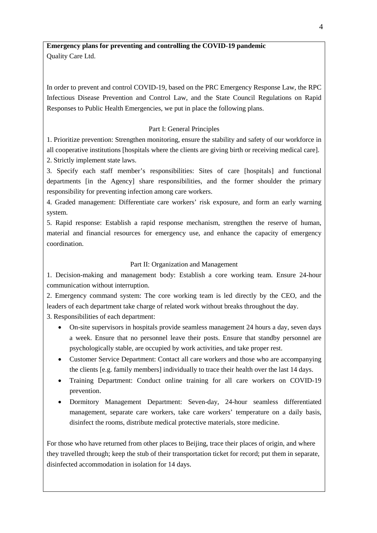**Emergency plans for preventing and controlling the COVID-19 pandemic** Quality Care Ltd.

In order to prevent and control COVID-19, based on the PRC Emergency Response Law, the RPC Infectious Disease Prevention and Control Law, and the State Council Regulations on Rapid Responses to Public Health Emergencies, we put in place the following plans.

# Part I: General Principles

1. Prioritize prevention: Strengthen monitoring, ensure the stability and safety of our workforce in all cooperative institutions [hospitals where the clients are giving birth or receiving medical care]. 2. Strictly implement state laws.

3. Specify each staff member's responsibilities: Sites of care [hospitals] and functional departments [in the Agency] share responsibilities, and the former shoulder the primary responsibility for preventing infection among care workers.

4. Graded management: Differentiate care workers' risk exposure, and form an early warning system.

5. Rapid response: Establish a rapid response mechanism, strengthen the reserve of human, material and financial resources for emergency use, and enhance the capacity of emergency coordination.

# Part II: Organization and Management

1. Decision-making and management body: Establish a core working team. Ensure 24-hour communication without interruption.

2. Emergency command system: The core working team is led directly by the CEO, and the leaders of each department take charge of related work without breaks throughout the day.

3. Responsibilities of each department:

- On-site supervisors in hospitals provide seamless management 24 hours a day, seven days a week. Ensure that no personnel leave their posts. Ensure that standby personnel are psychologically stable, are occupied by work activities, and take proper rest.
- Customer Service Department: Contact all care workers and those who are accompanying the clients [e.g. family members] individually to trace their health over the last 14 days.
- Training Department: Conduct online training for all care workers on COVID-19 prevention.
- Dormitory Management Department: Seven-day, 24-hour seamless differentiated management, separate care workers, take care workers' temperature on a daily basis, disinfect the rooms, distribute medical protective materials, store medicine.

For those who have returned from other places to Beijing, trace their places of origin, and where they travelled through; keep the stub of their transportation ticket for record; put them in separate, disinfected accommodation in isolation for 14 days.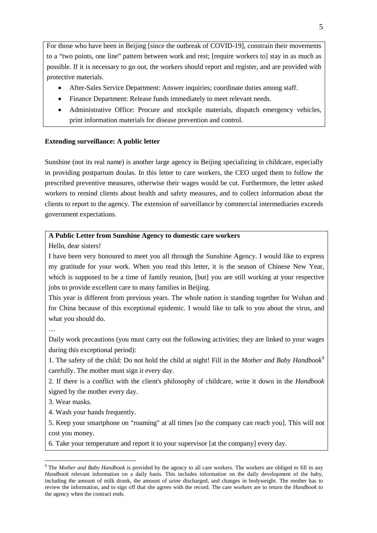For those who have been in Beijing [since the outbreak of COVID-19], constrain their movements to a "two points, one line" pattern between work and rest; [require workers to] stay in as much as possible. If it is necessary to go out, the workers should report and register, and are provided with protective materials.

- After-Sales Service Department: Answer inquiries; coordinate duties among staff.
- Finance Department: Release funds immediately to meet relevant needs.
- Administrative Office: Procure and stockpile materials, dispatch emergency vehicles, print information materials for disease prevention and control.

### **Extending surveillance: A public letter**

Sunshine (not its real name) is another large agency in Beijing specializing in childcare, especially in providing postpartum doulas. In this letter to care workers, the CEO urged them to follow the prescribed preventive measures, otherwise their wages would be cut. Furthermore, the letter asked workers to remind clients about health and safety measures, and to collect information about the clients to report to the agency. The extension of surveillance by commercial intermediaries exceeds government expectations.

# **A Public Letter from Sunshine Agency to domestic care workers**

Hello, dear sisters!

I have been very honoured to meet you all through the Sunshine Agency. I would like to express my gratitude for your work. When you read this letter, it is the season of Chinese New Year, which is supposed to be a time of family reunion, [but] you are still working at your respective jobs to provide excellent care to many families in Beijing.

This year is different from previous years. The whole nation is standing together for Wuhan and for China because of this exceptional epidemic. I would like to talk to you about the virus, and what you should do.

…

Daily work precautions (you must carry out the following activities; they are linked to your wages during this exceptional period):

1. The safety of the child: Do not hold the child at night! Fill in the *Mother and Baby Handbook*[9](#page-2-4) carefully. The mother must sign it every day.

2. If there is a conflict with the client's philosophy of childcare, write it down in the *Handbook* signed by the mother every day.

3. Wear masks.

4. Wash your hands frequently.

5. Keep your smartphone on "roaming" at all times [so the company can reach you]. This will not cost you money.

6. Take your temperature and report it to your supervisor [at the company] every day.

<span id="page-4-0"></span> <sup>9</sup> The *Mother and Baby Handbook* is provided by the agency to all care workers. The workers are obliged to fill in any *Handbook* relevant information on a daily basis. This includes information on the daily development of the baby, including the amount of milk drunk, the amount of urine discharged, and changes in bodyweight. The mother has to review the information, and to sign off that she agrees with the record. The care workers are to return the *Handbook* to the agency when the contract ends.